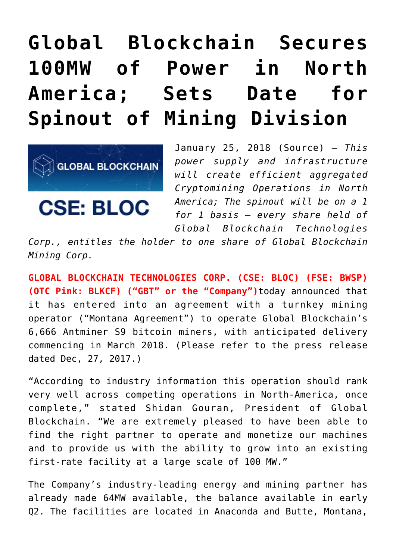# **[Global Blockchain Secures](https://investorintel.com/markets/technology/technology-news/global-blockchain-secures-100mw-power-north-america-sets-date-spinout-mining-division/) [100MW of Power in North](https://investorintel.com/markets/technology/technology-news/global-blockchain-secures-100mw-power-north-america-sets-date-spinout-mining-division/) [America; Sets Date for](https://investorintel.com/markets/technology/technology-news/global-blockchain-secures-100mw-power-north-america-sets-date-spinout-mining-division/) [Spinout of Mining Division](https://investorintel.com/markets/technology/technology-news/global-blockchain-secures-100mw-power-north-america-sets-date-spinout-mining-division/)**



**CSE: BLOC** 

January 25, 2018 ([Source\)](https://investorintel.com/iintel-members/global-blockchain-technologies-corp/) — *This power supply and infrastructure will create efficient aggregated Cryptomining Operations in North America; The spinout will be on a 1 for 1 basis – every share held of Global Blockchain Technologies*

*Corp., entitles the holder to one share of Global Blockchain Mining Corp.*

**GLOBAL BLOCKCHAIN TECHNOLOGIES CORP. (CSE: BLOC) (FSE: BWSP) (OTC Pink: BLKCF) ("GBT" or the "Company")**today announced that it has entered into an agreement with a turnkey mining operator ("Montana Agreement") to operate Global Blockchain's 6,666 Antminer S9 bitcoin miners, with anticipated delivery commencing in March 2018. (Please refer to the press release dated Dec, 27, 2017.)

"According to industry information this operation should rank very well across competing operations in North-America, once complete," stated Shidan Gouran, President of Global Blockchain. "We are extremely pleased to have been able to find the right partner to operate and monetize our machines and to provide us with the ability to grow into an existing first-rate facility at a large scale of 100 MW."

The Company's industry-leading energy and mining partner has already made 64MW available, the balance available in early Q2. The facilities are located in Anaconda and Butte, Montana,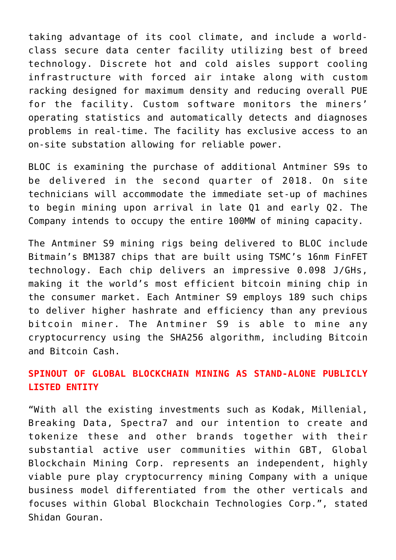taking advantage of its cool climate, and include a worldclass secure data center facility utilizing best of breed technology. Discrete hot and cold aisles support cooling infrastructure with forced air intake along with custom racking designed for maximum density and reducing overall PUE for the facility. Custom software monitors the miners' operating statistics and automatically detects and diagnoses problems in real-time. The facility has exclusive access to an on-site substation allowing for reliable power.

BLOC is examining the purchase of additional Antminer S9s to be delivered in the second quarter of 2018. On site technicians will accommodate the immediate set-up of machines to begin mining upon arrival in late Q1 and early Q2. The Company intends to occupy the entire 100MW of mining capacity.

The Antminer S9 mining rigs being delivered to BLOC include Bitmain's BM1387 chips that are built using TSMC's 16nm FinFET technology. Each chip delivers an impressive 0.098 J/GHs, making it the world's most efficient bitcoin mining chip in the consumer market. Each Antminer S9 employs 189 such chips to deliver higher hashrate and efficiency than any previous bitcoin miner. The Antminer S9 is able to mine any cryptocurrency using the SHA256 algorithm, including Bitcoin and Bitcoin Cash.

## **SPINOUT OF GLOBAL BLOCKCHAIN MINING AS STAND-ALONE PUBLICLY LISTED ENTITY**

"With all the existing investments such as Kodak, Millenial, Breaking Data, Spectra7 and our intention to create and tokenize these and other brands together with their substantial active user communities within GBT, Global Blockchain Mining Corp. represents an independent, highly viable pure play cryptocurrency mining Company with a unique business model differentiated from the other verticals and focuses within Global Blockchain Technologies Corp.", stated Shidan Gouran.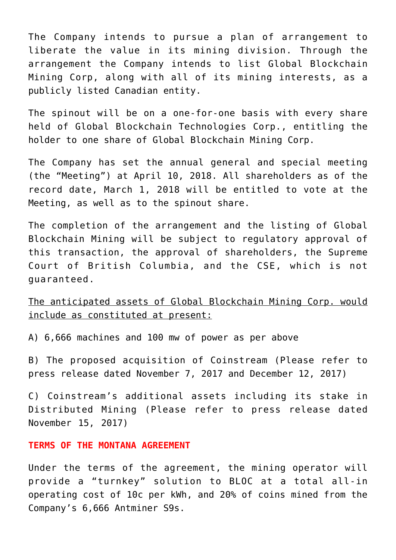The Company intends to pursue a plan of arrangement to liberate the value in its mining division. Through the arrangement the Company intends to list Global Blockchain Mining Corp, along with all of its mining interests, as a publicly listed Canadian entity.

The spinout will be on a one-for-one basis with every share held of Global Blockchain Technologies Corp., entitling the holder to one share of Global Blockchain Mining Corp.

The Company has set the annual general and special meeting (the "Meeting") at April 10, 2018. All shareholders as of the record date, March 1, 2018 will be entitled to vote at the Meeting, as well as to the spinout share.

The completion of the arrangement and the listing of Global Blockchain Mining will be subject to regulatory approval of this transaction, the approval of shareholders, the Supreme Court of British Columbia, and the CSE, which is not guaranteed.

The anticipated assets of Global Blockchain Mining Corp. would include as constituted at present:

A) 6,666 machines and 100 mw of power as per above

B) The proposed acquisition of Coinstream (Please refer to press release dated November 7, 2017 and December 12, 2017)

C) Coinstream's additional assets including its stake in Distributed Mining (Please refer to press release dated November 15, 2017)

#### **TERMS OF THE MONTANA AGREEMENT**

Under the terms of the agreement, the mining operator will provide a "turnkey" solution to BLOC at a total all-in operating cost of 10c per kWh, and 20% of coins mined from the Company's 6,666 Antminer S9s.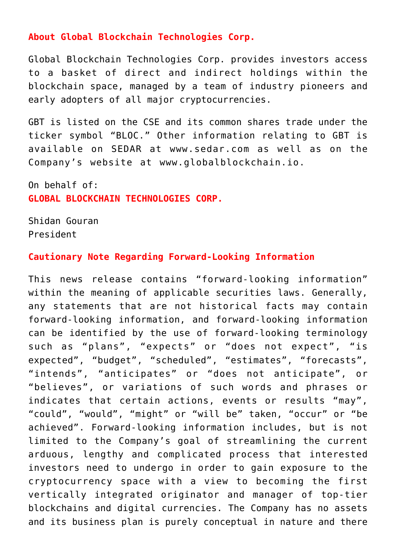### **About Global Blockchain Technologies Corp.**

Global Blockchain Technologies Corp. provides investors access to a basket of direct and indirect holdings within the blockchain space, managed by a team of industry pioneers and early adopters of all major cryptocurrencies.

GBT is listed on the CSE and its common shares trade under the ticker symbol "BLOC." Other information relating to GBT is available on SEDAR at [www.sedar.com](http://www.sedar.com/) as well as on the Company's website at [www.globalblockchain.io](http://www.globalblockchain.io/).

On behalf of: **GLOBAL BLOCKCHAIN TECHNOLOGIES CORP.**

Shidan Gouran President

#### **Cautionary Note Regarding Forward-Looking Information**

This news release contains "forward-looking information" within the meaning of applicable securities laws. Generally, any statements that are not historical facts may contain forward-looking information, and forward-looking information can be identified by the use of forward-looking terminology such as "plans", "expects" or "does not expect", "is expected", "budget", "scheduled", "estimates", "forecasts", "intends", "anticipates" or "does not anticipate", or "believes", or variations of such words and phrases or indicates that certain actions, events or results "may", "could", "would", "might" or "will be" taken, "occur" or "be achieved". Forward-looking information includes, but is not limited to the Company's goal of streamlining the current arduous, lengthy and complicated process that interested investors need to undergo in order to gain exposure to the cryptocurrency space with a view to becoming the first vertically integrated originator and manager of top-tier blockchains and digital currencies. The Company has no assets and its business plan is purely conceptual in nature and there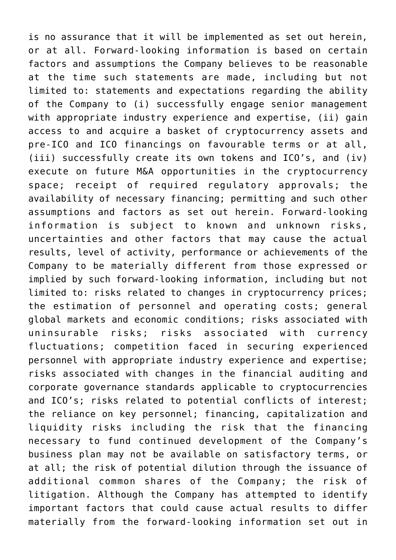is no assurance that it will be implemented as set out herein, or at all. Forward-looking information is based on certain factors and assumptions the Company believes to be reasonable at the time such statements are made, including but not limited to: statements and expectations regarding the ability of the Company to (i) successfully engage senior management with appropriate industry experience and expertise, (ii) gain access to and acquire a basket of cryptocurrency assets and pre-ICO and ICO financings on favourable terms or at all, (iii) successfully create its own tokens and ICO's, and (iv) execute on future M&A opportunities in the cryptocurrency space; receipt of required regulatory approvals; the availability of necessary financing; permitting and such other assumptions and factors as set out herein. Forward-looking information is subject to known and unknown risks, uncertainties and other factors that may cause the actual results, level of activity, performance or achievements of the Company to be materially different from those expressed or implied by such forward-looking information, including but not limited to: risks related to changes in cryptocurrency prices; the estimation of personnel and operating costs; general global markets and economic conditions; risks associated with uninsurable risks; risks associated with currency fluctuations; competition faced in securing experienced personnel with appropriate industry experience and expertise; risks associated with changes in the financial auditing and corporate governance standards applicable to cryptocurrencies and ICO's; risks related to potential conflicts of interest; the reliance on key personnel; financing, capitalization and liquidity risks including the risk that the financing necessary to fund continued development of the Company's business plan may not be available on satisfactory terms, or at all; the risk of potential dilution through the issuance of additional common shares of the Company; the risk of litigation. Although the Company has attempted to identify important factors that could cause actual results to differ materially from the forward-looking information set out in